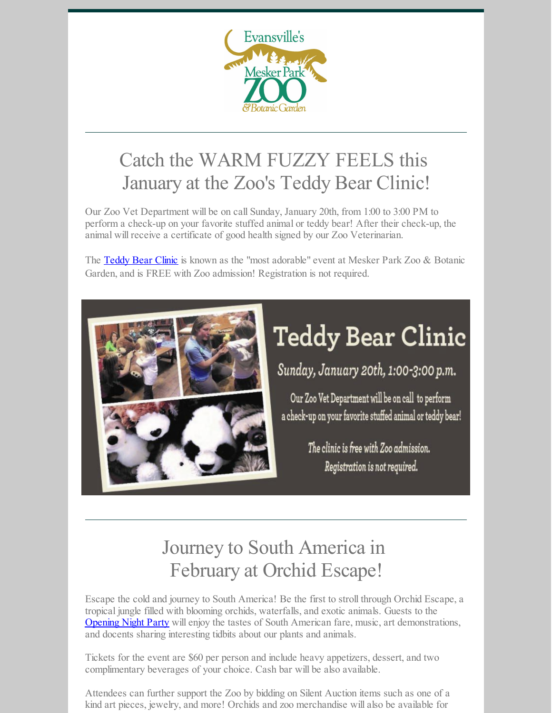

## Catch the WARM FUZZY FEELS this January at the Zoo's Teddy Bear Clinic!

Our Zoo Vet Department will be on call Sunday, January 20th, from 1:00 to 3:00 PM to perform a check-up on your favorite stuffed animal or teddy bear! After their check-up, the animal will receive a certificate of good health signed by our Zoo Veterinarian.

The [Teddy](https://www.facebook.com/events/1981867555440330/?active_tab=about) Bear Clinic is known as the "most adorable" event at Mesker Park Zoo & Botanic Garden, and is FREE with Zoo admission! Registration is not required.



## **Teddy Bear Clinic**

Sunday, January 20th, 1:00-3:00 p.m.

Our Zoo Vet Department will be on call to perform a check-up on your favorite stuffed animal or teddy bear!

> The clinic is free with Zoo admission. Registration is not required.

## Journey to South America in February at Orchid Escape!

Escape the cold and journey to South America! Be the first to stroll through Orchid Escape, a tropical jungle filled with blooming orchids, waterfalls, and exotic animals. Guests to the **[Opening](https://www.eventbrite.com/e/orchid-escape-opening-night-tickets-54411622628) Night Party** will enjoy the tastes of South American fare, music, art demonstrations, and docents sharing interesting tidbits about our plants and animals.

Tickets for the event are \$60 per person and include heavy appetizers, dessert, and two complimentary beverages of your choice. Cash bar will be also available.

Attendees can further support the Zoo by bidding on Silent Auction items such as one of a kind art pieces, jewelry, and more! Orchids and zoo merchandise will also be available for